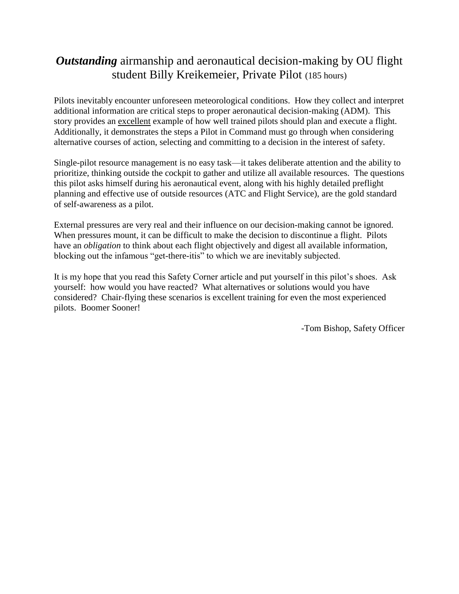## *Outstanding* airmanship and aeronautical decision-making by OU flight student Billy Kreikemeier, Private Pilot (185 hours)

Pilots inevitably encounter unforeseen meteorological conditions. How they collect and interpret additional information are critical steps to proper aeronautical decision-making (ADM). This story provides an excellent example of how well trained pilots should plan and execute a flight. Additionally, it demonstrates the steps a Pilot in Command must go through when considering alternative courses of action, selecting and committing to a decision in the interest of safety.

Single-pilot resource management is no easy task—it takes deliberate attention and the ability to prioritize, thinking outside the cockpit to gather and utilize all available resources. The questions this pilot asks himself during his aeronautical event, along with his highly detailed preflight planning and effective use of outside resources (ATC and Flight Service), are the gold standard of self-awareness as a pilot.

External pressures are very real and their influence on our decision-making cannot be ignored. When pressures mount, it can be difficult to make the decision to discontinue a flight. Pilots have an *obligation* to think about each flight objectively and digest all available information, blocking out the infamous "get-there-itis" to which we are inevitably subjected.

It is my hope that you read this Safety Corner article and put yourself in this pilot's shoes. Ask yourself: how would you have reacted? What alternatives or solutions would you have considered? Chair-flying these scenarios is excellent training for even the most experienced pilots. Boomer Sooner!

-Tom Bishop, Safety Officer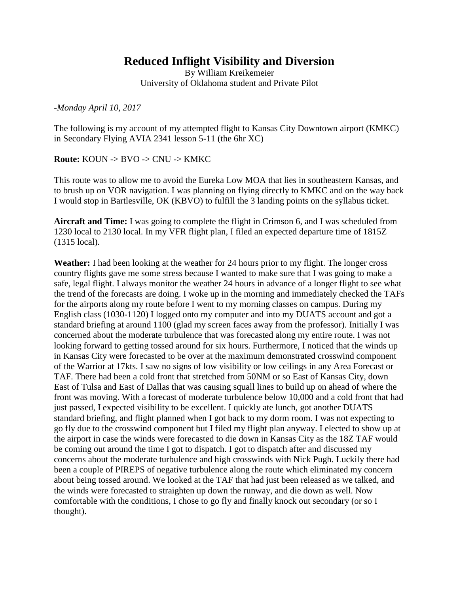## **Reduced Inflight Visibility and Diversion**

By William Kreikemeier University of Oklahoma student and Private Pilot

*-Monday April 10, 2017*

The following is my account of my attempted flight to Kansas City Downtown airport (KMKC) in Secondary Flying AVIA 2341 lesson 5-11 (the 6hr XC)

**Route:** KOUN -> BVO -> CNU -> KMKC

This route was to allow me to avoid the Eureka Low MOA that lies in southeastern Kansas, and to brush up on VOR navigation. I was planning on flying directly to KMKC and on the way back I would stop in Bartlesville, OK (KBVO) to fulfill the 3 landing points on the syllabus ticket.

**Aircraft and Time:** I was going to complete the flight in Crimson 6, and I was scheduled from 1230 local to 2130 local. In my VFR flight plan, I filed an expected departure time of 1815Z (1315 local).

**Weather:** I had been looking at the weather for 24 hours prior to my flight. The longer cross country flights gave me some stress because I wanted to make sure that I was going to make a safe, legal flight. I always monitor the weather 24 hours in advance of a longer flight to see what the trend of the forecasts are doing. I woke up in the morning and immediately checked the TAFs for the airports along my route before I went to my morning classes on campus. During my English class (1030-1120) I logged onto my computer and into my DUATS account and got a standard briefing at around 1100 (glad my screen faces away from the professor). Initially I was concerned about the moderate turbulence that was forecasted along my entire route. I was not looking forward to getting tossed around for six hours. Furthermore, I noticed that the winds up in Kansas City were forecasted to be over at the maximum demonstrated crosswind component of the Warrior at 17kts. I saw no signs of low visibility or low ceilings in any Area Forecast or TAF. There had been a cold front that stretched from 50NM or so East of Kansas City, down East of Tulsa and East of Dallas that was causing squall lines to build up on ahead of where the front was moving. With a forecast of moderate turbulence below 10,000 and a cold front that had just passed, I expected visibility to be excellent. I quickly ate lunch, got another DUATS standard briefing, and flight planned when I got back to my dorm room. I was not expecting to go fly due to the crosswind component but I filed my flight plan anyway. I elected to show up at the airport in case the winds were forecasted to die down in Kansas City as the 18Z TAF would be coming out around the time I got to dispatch. I got to dispatch after and discussed my concerns about the moderate turbulence and high crosswinds with Nick Pugh. Luckily there had been a couple of PIREPS of negative turbulence along the route which eliminated my concern about being tossed around. We looked at the TAF that had just been released as we talked, and the winds were forecasted to straighten up down the runway, and die down as well. Now comfortable with the conditions, I chose to go fly and finally knock out secondary (or so I thought).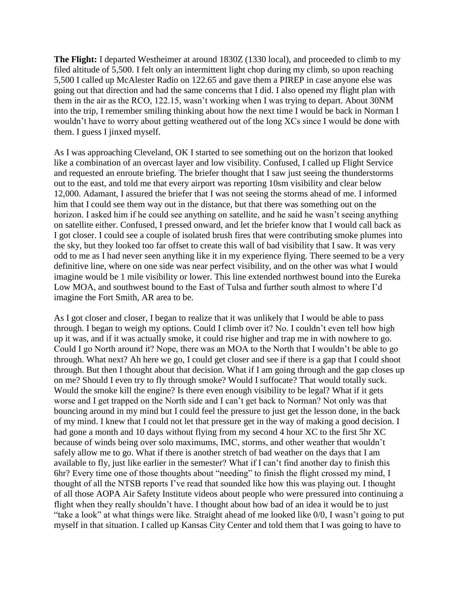**The Flight:** I departed Westheimer at around 1830Z (1330 local), and proceeded to climb to my filed altitude of 5,500. I felt only an intermittent light chop during my climb, so upon reaching 5,500 I called up McAlester Radio on 122.65 and gave them a PIREP in case anyone else was going out that direction and had the same concerns that I did. I also opened my flight plan with them in the air as the RCO, 122.15, wasn't working when I was trying to depart. About 30NM into the trip, I remember smiling thinking about how the next time I would be back in Norman I wouldn't have to worry about getting weathered out of the long XCs since I would be done with them. I guess I jinxed myself.

As I was approaching Cleveland, OK I started to see something out on the horizon that looked like a combination of an overcast layer and low visibility. Confused, I called up Flight Service and requested an enroute briefing. The briefer thought that I saw just seeing the thunderstorms out to the east, and told me that every airport was reporting 10sm visibility and clear below 12,000. Adamant, I assured the briefer that I was not seeing the storms ahead of me. I informed him that I could see them way out in the distance, but that there was something out on the horizon. I asked him if he could see anything on satellite, and he said he wasn't seeing anything on satellite either. Confused, I pressed onward, and let the briefer know that I would call back as I got closer. I could see a couple of isolated brush fires that were contributing smoke plumes into the sky, but they looked too far offset to create this wall of bad visibility that I saw. It was very odd to me as I had never seen anything like it in my experience flying. There seemed to be a very definitive line, where on one side was near perfect visibility, and on the other was what I would imagine would be 1 mile visibility or lower. This line extended northwest bound into the Eureka Low MOA, and southwest bound to the East of Tulsa and further south almost to where I'd imagine the Fort Smith, AR area to be.

As I got closer and closer, I began to realize that it was unlikely that I would be able to pass through. I began to weigh my options. Could I climb over it? No. I couldn't even tell how high up it was, and if it was actually smoke, it could rise higher and trap me in with nowhere to go. Could I go North around it? Nope, there was an MOA to the North that I wouldn't be able to go through. What next? Ah here we go, I could get closer and see if there is a gap that I could shoot through. But then I thought about that decision. What if I am going through and the gap closes up on me? Should I even try to fly through smoke? Would I suffocate? That would totally suck. Would the smoke kill the engine? Is there even enough visibility to be legal? What if it gets worse and I get trapped on the North side and I can't get back to Norman? Not only was that bouncing around in my mind but I could feel the pressure to just get the lesson done, in the back of my mind. I knew that I could not let that pressure get in the way of making a good decision. I had gone a month and 10 days without flying from my second 4 hour XC to the first 5hr XC because of winds being over solo maximums, IMC, storms, and other weather that wouldn't safely allow me to go. What if there is another stretch of bad weather on the days that I am available to fly, just like earlier in the semester? What if I can't find another day to finish this 6hr? Every time one of those thoughts about "needing" to finish the flight crossed my mind, I thought of all the NTSB reports I've read that sounded like how this was playing out. I thought of all those AOPA Air Safety Institute videos about people who were pressured into continuing a flight when they really shouldn't have. I thought about how bad of an idea it would be to just "take a look" at what things were like. Straight ahead of me looked like 0/0, I wasn't going to put myself in that situation. I called up Kansas City Center and told them that I was going to have to